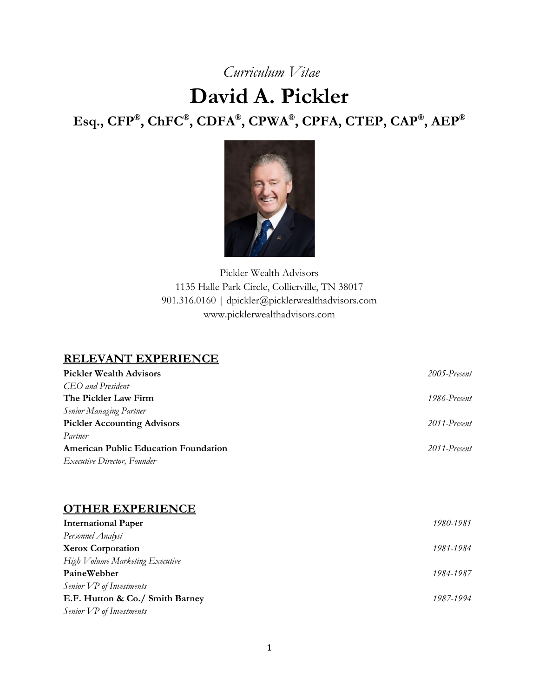# *Curriculum Vitae*

# **David A. Pickler Esq., CFP®, ChFC®, CDFA®, CPWA®, CPFA, CTEP, CAP®, AEP®**



Pickler Wealth Advisors 1135 Halle Park Circle, Collierville, TN 38017 901.316.0160 | dpickler@picklerwealthadvisors.com www.picklerwealthadvisors.com

# **RELEVANT EXPERIENCE**

| <b>Pickler Wealth Advisors</b>              | 2005-Present |
|---------------------------------------------|--------------|
| CEO and President                           |              |
| The Pickler Law Firm                        | 1986-Present |
| <b>Senior Managing Partner</b>              |              |
| <b>Pickler Accounting Advisors</b>          | 2011-Present |
| Partner                                     |              |
| <b>American Public Education Foundation</b> | 2011-Present |
| <i>Executive Director, Founder</i>          |              |

### **OTHER EXPERIENCE**

| <b>International Paper</b>      | 1980-1981 |
|---------------------------------|-----------|
| Personnel Analyst               |           |
| <b>Xerox Corporation</b>        | 1981-1984 |
| High Volume Marketing Executive |           |
| PaineWebber                     | 1984-1987 |
| Senior VP of Investments        |           |
| E.F. Hutton & Co./ Smith Barney | 1987-1994 |
| Senior VP of Investments        |           |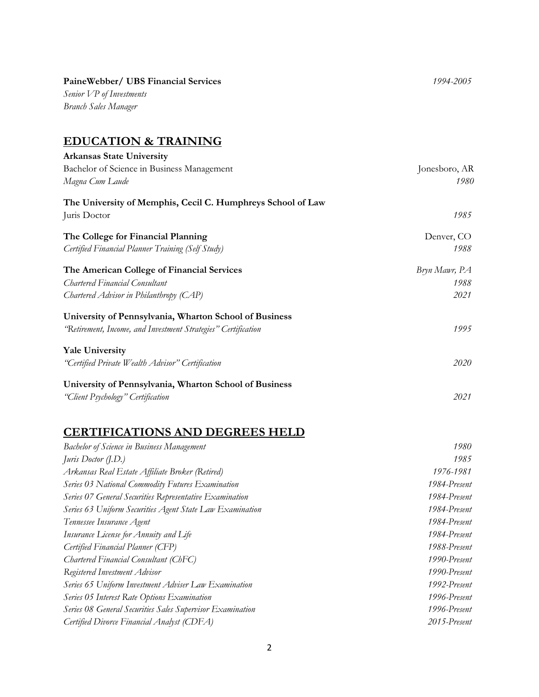### **PaineWebber/ UBS Financial Services** *1994-2005*

*Senior VP of Investments Branch Sales Manager*

### **EDUCATION & TRAINING**

| <b>Arkansas State University</b>                              |               |
|---------------------------------------------------------------|---------------|
| Bachelor of Science in Business Management                    | Jonesboro, AR |
| Magna Cum Laude                                               | 1980          |
| The University of Memphis, Cecil C. Humphreys School of Law   |               |
| Juris Doctor                                                  | 1985          |
| The College for Financial Planning                            | Denver, CO    |
| Certified Financial Planner Training (Self Study)             | 1988          |
| The American College of Financial Services                    | Bryn Mawr, PA |
| <b>Chartered Financial Consultant</b>                         | 1988          |
| Chartered Advisor in Philanthropy (CAP)                       | 2021          |
| University of Pennsylvania, Wharton School of Business        |               |
| "Retirement, Income, and Investment Strategies" Certification | 1995          |
| <b>Yale University</b>                                        |               |
| "Certified Private Wealth Advisor" Certification              | 2020          |
| University of Pennsylvania, Wharton School of Business        |               |
| "Client Psychology" Certification                             | 2021          |

# **CERTIFICATIONS AND DEGREES HELD**

| <b>Bachelor of Science in Business Management</b>                | 1980         |
|------------------------------------------------------------------|--------------|
| <i>Juris Doctor</i> $(I.D.)$                                     | 1985         |
| Arkansas Real Estate Affiliate Broker (Retired)                  | 1976-1981    |
| Series 03 National Commodity Futures Examination                 | 1984-Present |
| Series 07 General Securities Representative Examination          | 1984-Present |
| Series 63 Uniform Securities Agent State Law Examination         | 1984-Present |
| Tennessee Insurance Agent                                        | 1984-Present |
| Insurance License for Annuity and Life                           | 1984-Present |
| Certified Financial Planner (CFP)                                | 1988-Present |
| Chartered Financial Consultant (ChFC)                            | 1990-Present |
| Registered Investment Advisor                                    | 1990-Present |
| Series 65 Uniform Investment Adviser Law Examination             | 1992-Present |
| Series 05 Interest Rate Options Examination                      | 1996-Present |
| <b>Series 08 General Securities Sales Supervisor Examination</b> | 1996-Present |
| Certified Divorce Financial Analyst (CDFA)                       | 2015-Present |
|                                                                  |              |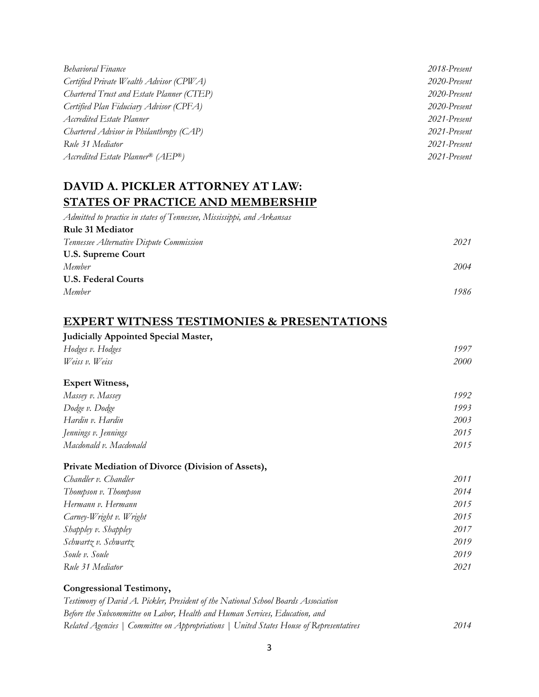| <b>Behavioral Finance</b>                 | 2018-Present |
|-------------------------------------------|--------------|
| Certified Private Wealth Advisor (CPWA)   | 2020-Present |
| Chartered Trust and Estate Planner (CTEP) | 2020-Present |
| Certified Plan Fiduciary Advisor (CPFA)   | 2020-Present |
| Accredited Estate Planner                 | 2021-Present |
| Chartered Advisor in Philanthropy (CAP)   | 2021-Present |
| Rule 31 Mediator                          | 2021-Present |
| Accredited Estate Planner® (AEP®)         | 2021-Present |

# **DAVID A. PICKLER ATTORNEY AT LAW: STATES OF PRACTICE AND MEMBERSHIP**

| Admitted to practice in states of Tennessee, Mississippi, and Arkansas |      |
|------------------------------------------------------------------------|------|
| <b>Rule 31 Mediator</b>                                                |      |
| Tennessee Alternative Dispute Commission                               | 2021 |
| <b>U.S. Supreme Court</b>                                              |      |
| Member                                                                 | 2004 |
| <b>U.S. Federal Courts</b>                                             |      |
| Member                                                                 | 1986 |
|                                                                        |      |

# **EXPERT WITNESS TESTIMONIES & PRESENTATIONS**

| <b>Judicially Appointed Special Master,</b> |             |
|---------------------------------------------|-------------|
| Hodges v. Hodges                            | 1997        |
| Weiss v. Weiss                              | <i>2000</i> |
|                                             |             |

#### **Expert Witness,**

| Massey v. Massey       | 1992 |
|------------------------|------|
| Dodge v. Dodge         | 1993 |
| Hardin v. Hardin       | 2003 |
| Jennings v. Jennings   | 2015 |
| Macdonald v. Macdonald | 2015 |

### **Private Mediation of Divorce (Division of Assets),**

| Chandler v. Chandler    | 2011 |
|-------------------------|------|
| Thompson v. Thompson    | 2014 |
| Hermann v. Hermann      | 2015 |
| Carney-Wright v. Wright | 2015 |
| Shappley v. Shappley    | 2017 |
| Schwartz v. Schwartz    | 2019 |
| Soule v. Soule          | 2019 |
| Rule 31 Mediator        | 2021 |

### **Congressional Testimony,**

| Testimony of David A. Pickler, President of the National School Boards Association      |      |
|-----------------------------------------------------------------------------------------|------|
| Before the Subcommittee on Labor, Health and Human Services, Education, and             |      |
| Related Agencies   Committee on Appropriations   United States House of Representatives | 2014 |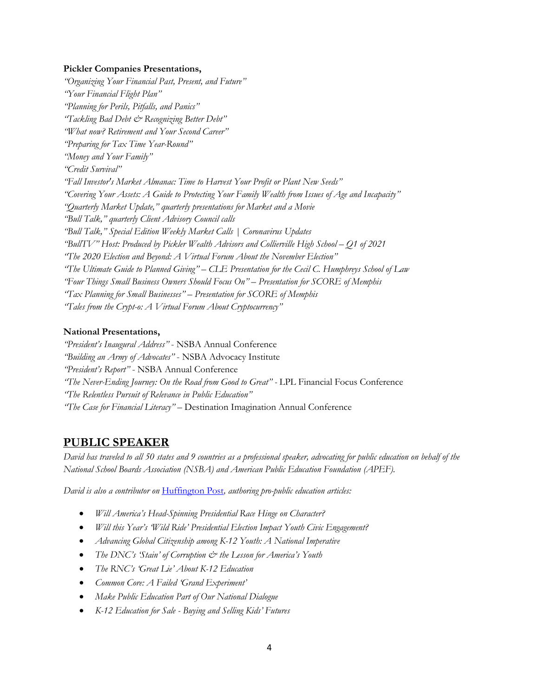#### **Pickler Companies Presentations,**

*"Organizing Your Financial Past, Present, and Future" "Your Financial Flight Plan" "Planning for Perils, Pitfalls, and Panics" "Tackling Bad Debt & Recognizing Better Debt" "What now? Retirement and Your Second Career" "Preparing for Tax Time Year-Round" "Money and Your Family" "Credit Survival" "Fall Investor's Market Almanac: Time to Harvest Your Profit or Plant New Seeds" "Covering Your Assets: A Guide to Protecting Your Family Wealth from Issues of Age and Incapacity" "Quarterly Market Update," quarterly presentations for Market and a Movie "Bull Talk," quarterly Client Advisory Council calls "Bull Talk," Special Edition Weekly Market Calls | Coronavirus Updates "BullTV" Host: Produced by Pickler Wealth Advisors and Collierville High School – Q1 of 2021 "The 2020 Election and Beyond: A Virtual Forum About the November Election" "The Ultimate Guide to Planned Giving" – CLE Presentation for the Cecil C. Humphreys School of Law "Four Things Small Business Owners Should Focus On" – Presentation for SCORE of Memphis "Tax Planning for Small Businesses" – Presentation for SCORE of Memphis "Tales from the Crypt-o: A Virtual Forum About Cryptocurrency"*

#### **National Presentations,**

*"President's Inaugural Address"* - NSBA Annual Conference *"Building an Army of Advocates"* - NSBA Advocacy Institute *"President's Report"* - NSBA Annual Conference *"The Never-Ending Journey: On the Road from Good to Great" -* LPL Financial Focus Conference *"The Relentless Pursuit of Relevance in Public Education" "The Case for Financial Literacy" –* Destination Imagination Annual Conference

### **PUBLIC SPEAKER**

*David has traveled to all 50 states and 9 countries as a professional speaker, advocating for public education on behalf of the National School Boards Association (NSBA) and American Public Education Foundation (APEF).*

*David is also a contributor on* [Huffington Post](http://www.huffingtonpost.com/author/david-pickler)*, authoring pro-public education articles:*

- *Will America's Head-Spinning Presidential Race Hinge on Character?*
- *Will this Year's 'Wild Ride' Presidential Election Impact Youth Civic Engagement?*
- *Advancing Global Citizenship among K-12 Youth: A National Imperative*
- *The DNC's 'Stain' of Corruption & the Lesson for America's Youth*
- *The RNC's 'Great Lie' About K-12 Education*
- *Common Core: A Failed 'Grand Experiment'*
- *Make Public Education Part of Our National Dialogue*
- *K-12 Education for Sale - Buying and Selling Kids' Futures*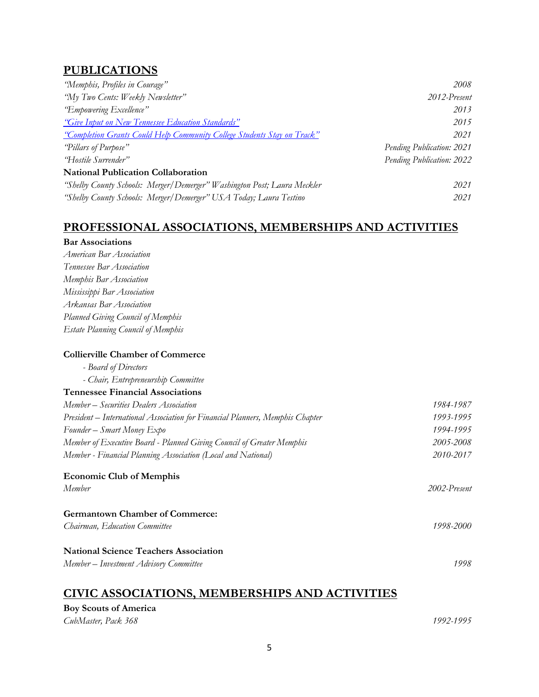# **PUBLICATIONS**

| "Memphis, Profiles in Courage"                                          | 2008                      |
|-------------------------------------------------------------------------|---------------------------|
| "My Two Cents: Weekly Newsletter"                                       | 2012-Present              |
| "Empowering Excellence"                                                 | 2013                      |
| "Give Input on New Tennessee Education Standards"                       | 2015                      |
| "Completion Grants Could Help Community College Students Stay on Track" | 2021                      |
| "Pillars of Purpose"                                                    | Pending Publication: 2021 |
| "Hostile Surrender"                                                     | Pending Publication: 2022 |
| <b>National Publication Collaboration</b>                               |                           |
| "Shelby County Schools: Merger/Demerger" Washington Post; Laura Meckler | 2021                      |
| "Shelby County Schools: Merger/Demerger" USA Today; Laura Testino       | 2021                      |

### **PROFESSIONAL ASSOCIATIONS, MEMBERSHIPS AND ACTIVITIES**

| <b>Bar Associations</b>                                                       |              |
|-------------------------------------------------------------------------------|--------------|
| American Bar Association                                                      |              |
| Tennessee Bar Association                                                     |              |
| Memphis Bar Association                                                       |              |
| Mississippi Bar Association                                                   |              |
| Arkansas Bar Association                                                      |              |
| Planned Giving Council of Memphis                                             |              |
| <b>Estate Planning Council of Memphis</b>                                     |              |
| <b>Collierville Chamber of Commerce</b>                                       |              |
| - Board of Directors                                                          |              |
| - Chair, Entrepreneurship Committee                                           |              |
| <b>Tennessee Financial Associations</b>                                       |              |
| Member - Securities Dealers Association                                       | 1984-1987    |
| President – International Association for Financial Planners, Memphis Chapter | 1993-1995    |
| Founder - Smart Money Expo                                                    | 1994-1995    |
| Member of Executive Board - Planned Giving Council of Greater Memphis         | 2005-2008    |
| Member - Financial Planning Association (Local and National)                  | 2010-2017    |
| <b>Economic Club of Memphis</b>                                               |              |
| Member                                                                        | 2002-Present |
| <b>Germantown Chamber of Commerce:</b>                                        |              |
| Chairman, Education Committee                                                 | 1998-2000    |
| <b>National Science Teachers Association</b>                                  |              |
| Member - Investment Advisory Committee                                        | 1998         |
|                                                                               |              |

# **CIVIC ASSOCIATIONS, MEMBERSHIPS AND ACTIVITIES**

#### **Boy Scouts of America** *CubMaster, Pack 368 1992-1995*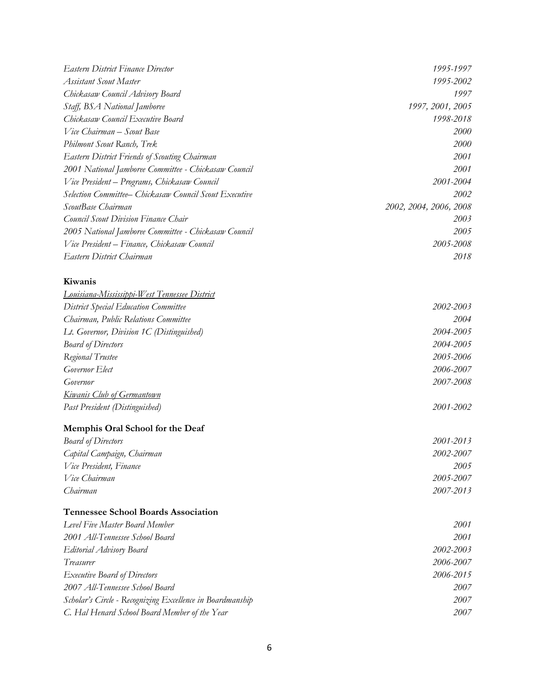| <b>Eastern District Finance Director</b>                  | 1995-1997              |
|-----------------------------------------------------------|------------------------|
| <b>Assistant Scout Master</b>                             | 1995-2002              |
| Chickasaw Council Advisory Board                          | 1997                   |
| Staff, BSA National Jamboree                              | 1997, 2001, 2005       |
| Chickasaw Council Executive Board                         | 1998-2018              |
| Vice Chairman - Scout Base                                | 2000                   |
| Philmont Scout Ranch, Trek                                | 2000                   |
| <b>Eastern District Friends of Scouting Chairman</b>      | 2001                   |
| 2001 National Jamboree Committee - Chickasaw Council      | 2001                   |
| Vice President - Programs, Chickasaw Council              | 2001-2004              |
| Selection Committee– Chickasaw Council Scout Executive    | 2002                   |
| ScoutBase Chairman                                        | 2002, 2004, 2006, 2008 |
| Council Scout Division Finance Chair                      | 2003                   |
| 2005 National Jamboree Committee - Chickasaw Council      | 2005                   |
| Vice President – Finance, Chickasaw Council               | 2005-2008              |
| Eastern District Chairman                                 | 2018                   |
| Kiwanis                                                   |                        |
| <u>Louisiana-Mississippi-West Tennessee District</u>      |                        |
| <b>District Special Education Committee</b>               | 2002-2003              |
| Chairman, Public Relations Committee                      | 2004                   |
| Lt. Governor, Division 1C (Distinguished)                 | 2004-2005              |
| <b>Board of Directors</b>                                 | 2004-2005              |
| Regional Trustee                                          | 2005-2006              |
| Governor Elect                                            | 2006-2007              |
| Governor                                                  | 2007-2008              |
| <u>Kiwanis Club of Germantown</u>                         |                        |
| Past President (Distinguished)                            | 2001-2002              |
| Memphis Oral School for the Deaf                          |                        |
| <b>Board of Directors</b>                                 | 2001-2013              |
| Capital Campaign, Chairman                                | 2002-2007              |
| Vice President, Finance                                   | 2005                   |
| Vice Chairman                                             | 2005-2007              |
| Chairman                                                  | 2007-2013              |
| <b>Tennessee School Boards Association</b>                |                        |
| Level Five Master Board Member                            | 2001                   |
| 2001 All-Tennessee School Board                           | 2001                   |
| Editorial Advisory Board                                  | 2002-2003              |
| Treasurer                                                 | 2006-2007              |
| <b>Executive Board of Directors</b>                       | 2006-2015              |
| 2007 All-Tennessee School Board                           | 2007                   |
| Scholar's Circle - Recognizing Excellence in Boardmanship | 2007                   |
| C. Hal Henard School Board Member of the Year             | 2007                   |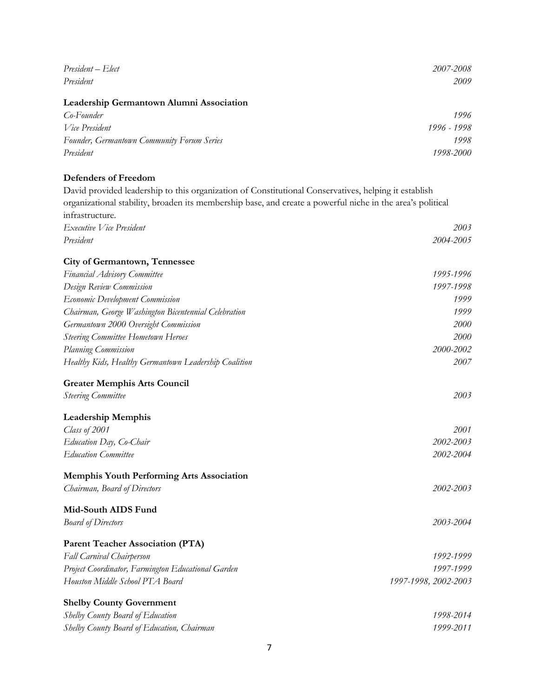| President - Elect                                                                                          | 2007-2008            |
|------------------------------------------------------------------------------------------------------------|----------------------|
| President                                                                                                  | 2009                 |
| Leadership Germantown Alumni Association                                                                   |                      |
| Co-Founder                                                                                                 | 1996                 |
| Vice President                                                                                             | 1996 - 1998          |
| Founder, Germantown Community Forum Series                                                                 | 1998                 |
| President                                                                                                  | 1998-2000            |
| <b>Defenders of Freedom</b>                                                                                |                      |
| David provided leadership to this organization of Constitutional Conservatives, helping it establish       |                      |
| organizational stability, broaden its membership base, and create a powerful niche in the area's political |                      |
| infrastructure.                                                                                            |                      |
| Executive Vice President                                                                                   | 2003                 |
| President                                                                                                  | 2004-2005            |
|                                                                                                            |                      |
| <b>City of Germantown, Tennessee</b>                                                                       | 1995-1996            |
| Financial Advisory Committee                                                                               | 1997-1998            |
| Design Review Commission<br><b>Economic Development Commission</b>                                         | 1999                 |
| Chairman, George Washington Bicentennial Celebration                                                       | 1999                 |
| Germantown 2000 Oversight Commission                                                                       | <i>2000</i>          |
| <b>Steering Committee Hometown Heroes</b>                                                                  | 2000                 |
| Planning Commission                                                                                        | 2000-2002            |
| Healthy Kids, Healthy Germantown Leadership Coalition                                                      | 2007                 |
| <b>Greater Memphis Arts Council</b>                                                                        |                      |
| <b>Steering Committee</b>                                                                                  | 2003                 |
| <b>Leadership Memphis</b>                                                                                  |                      |
| Class of 2001                                                                                              | 2001                 |
| Education Day, Co-Chair                                                                                    | 2002-2003            |
| <b>Education Committee</b>                                                                                 | 2002-2004            |
| <b>Memphis Youth Performing Arts Association</b>                                                           |                      |
| Chairman, Board of Directors                                                                               | 2002-2003            |
| Mid-South AIDS Fund                                                                                        |                      |
| <b>Board of Directors</b>                                                                                  | 2003-2004            |
| <b>Parent Teacher Association (PTA)</b>                                                                    |                      |
| Fall Carnival Chairperson                                                                                  | 1992-1999            |
| Project Coordinator, Farmington Educational Garden                                                         | 1997-1999            |
| Houston Middle School PTA Board                                                                            | 1997-1998, 2002-2003 |
| <b>Shelby County Government</b>                                                                            |                      |
| Shelby County Board of Education                                                                           | 1998-2014            |
| Shelby County Board of Education, Chairman                                                                 | 1999-2011            |
|                                                                                                            |                      |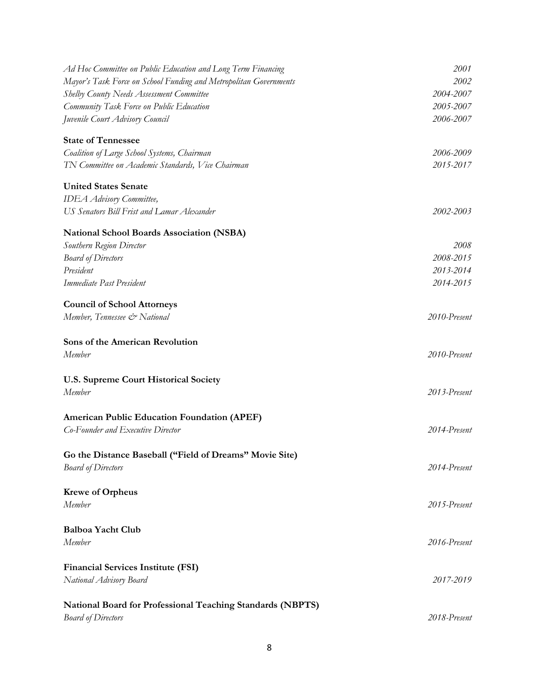| Ad Hoc Committee on Public Education and Long Term Financing      | 2001         |
|-------------------------------------------------------------------|--------------|
| Mayor's Task Force on School Funding and Metropolitan Governments | 2002         |
| Shelby County Needs Assessment Committee                          | 2004-2007    |
| Community Task Force on Public Education                          | 2005-2007    |
| Juvenile Court Advisory Council                                   | 2006-2007    |
| <b>State of Tennessee</b>                                         |              |
| Coalition of Large School Systems, Chairman                       | 2006-2009    |
| TN Committee on Academic Standards, Vice Chairman                 | 2015-2017    |
| <b>United States Senate</b>                                       |              |
| <b>IDEA</b> Advisory Committee,                                   |              |
| US Senators Bill Frist and Lamar Alexander                        | 2002-2003    |
| <b>National School Boards Association (NSBA)</b>                  |              |
| Southern Region Director                                          | 2008         |
| <b>Board of Directors</b>                                         | 2008-2015    |
| President                                                         | 2013-2014    |
| Immediate Past President                                          | 2014-2015    |
| <b>Council of School Attorneys</b>                                |              |
| Member, Tennessee & National                                      | 2010-Present |
| Sons of the American Revolution                                   |              |
| Member                                                            | 2010-Present |
| <b>U.S. Supreme Court Historical Society</b>                      |              |
| Member                                                            | 2013-Present |
| <b>American Public Education Foundation (APEF)</b>                |              |
| Co-Founder and Executive Director                                 | 2014-Present |
|                                                                   |              |
| Go the Distance Baseball ("Field of Dreams" Movie Site)           |              |
| <b>Board of Directors</b>                                         | 2014-Present |
| <b>Krewe of Orpheus</b>                                           |              |
| Member                                                            | 2015-Present |
| <b>Balboa Yacht Club</b>                                          |              |
| Member                                                            | 2016-Present |
| <b>Financial Services Institute (FSI)</b>                         |              |
| National Advisory Board                                           | 2017-2019    |
|                                                                   |              |
| <b>National Board for Professional Teaching Standards (NBPTS)</b> |              |
| <b>Board of Directors</b>                                         | 2018-Present |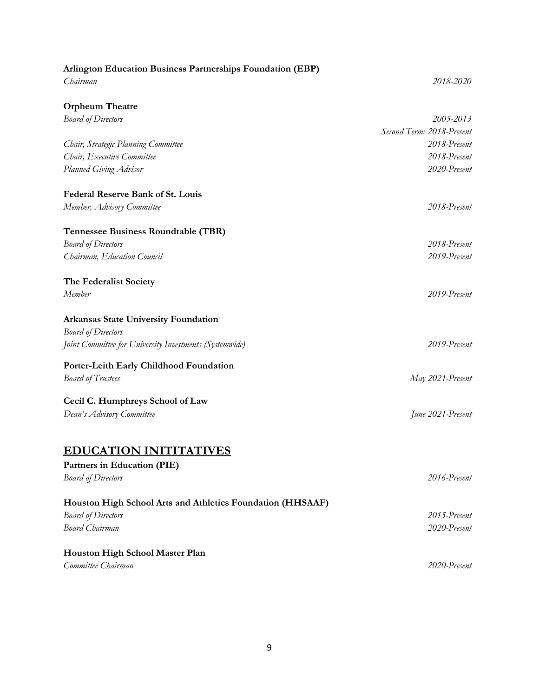| <b>Arlington Education Business Partnerships Foundation (EBP)</b> |                           |
|-------------------------------------------------------------------|---------------------------|
| Chairman                                                          | 2018-2020                 |
| <b>Orpheum Theatre</b>                                            |                           |
| <b>Board of Directors</b>                                         | 2005-2013                 |
|                                                                   | Second Term: 2018-Present |
| Chair, Strategic Planning Committee                               | 2018-Present              |
| Chair, Executive Committee                                        | 2018-Present              |
| Planned Giving Advisor                                            | 2020-Present              |
| <b>Federal Reserve Bank of St. Louis</b>                          |                           |
| Member, Advisory Committee                                        | 2018-Present              |
| Tennessee Business Roundtable (TBR)                               |                           |
| <b>Board of Directors</b>                                         | 2018-Present              |
| Chairman, Education Council                                       | 2019-Present              |
| The Federalist Society                                            |                           |
| Member                                                            | 2019-Present              |
| <b>Arkansas State University Foundation</b>                       |                           |
| <b>Board of Directors</b>                                         |                           |
| Joint Committee for University Investments (Systemwide)           | 2019-Present              |
| Porter-Leith Early Childhood Foundation                           |                           |
| <b>Board of Trustees</b>                                          | May 2021-Present          |
| Cecil C. Humphreys School of Law                                  |                           |
| Dean's Advisory Committee                                         | June 2021-Present         |
|                                                                   |                           |
| <b>EDUCATION INITITATIVES</b>                                     |                           |
| Partners in Education (PIE)                                       | 2016-Present              |
| <b>Board of Directors</b>                                         |                           |
| Houston High School Arts and Athletics Foundation (HHSAAF)        |                           |
| <b>Board of Directors</b>                                         | 2015-Present              |
| <b>Board Chairman</b>                                             | 2020-Present              |
| Houston High School Master Plan                                   |                           |
| Committee Chairman                                                | 2020-Present              |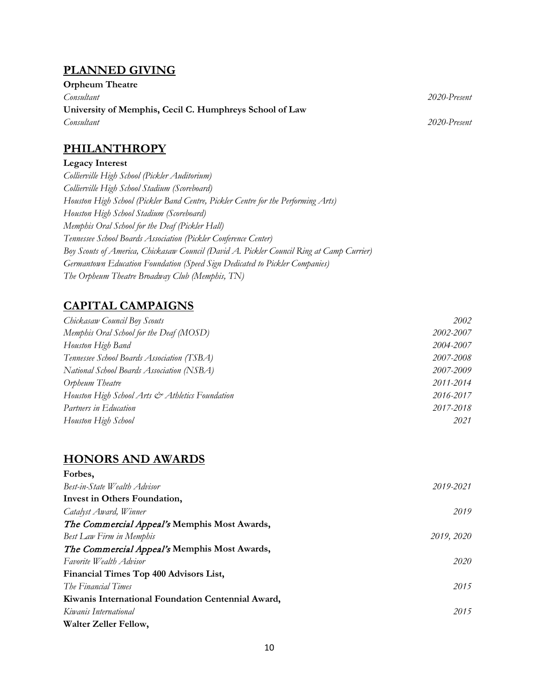### **PLANNED GIVING**

| <b>Orpheum Theatre</b>                                  |              |
|---------------------------------------------------------|--------------|
| Consultant                                              | 2020-Present |
| University of Memphis, Cecil C. Humphreys School of Law |              |
| Consultant                                              | 2020-Present |

### **PHILANTHROPY**

#### **Legacy Interest**

*Collierville High School (Pickler Auditorium) Collierville High School Stadium (Scoreboard) Houston High School (Pickler Band Centre, Pickler Centre for the Performing Arts) Houston High School Stadium (Scoreboard) Memphis Oral School for the Deaf (Pickler Hall) Tennessee School Boards Association (Pickler Conference Center) Boy Scouts of America, Chickasaw Council (David A. Pickler Council Ring at Camp Currier) Germantown Education Foundation (Speed Sign Dedicated to Pickler Companies) The Orpheum Theatre Broadway Club (Memphis, TN)*

# **CAPITAL CAMPAIGNS**

| Chickasaw Council Boy Scouts                    | 2002      |
|-------------------------------------------------|-----------|
| Memphis Oral School for the Deaf (MOSD)         | 2002-2007 |
| Houston High Band                               | 2004-2007 |
| Tennessee School Boards Association (TSBA)      | 2007-2008 |
| National School Boards Association (NSBA)       | 2007-2009 |
| Orpheum Theatre                                 | 2011-2014 |
| Houston High School Arts & Athletics Foundation | 2016-2017 |
| Partners in Education                           | 2017-2018 |
| Houston High School                             | 2021      |

# **HONORS AND AWARDS**

| Forbes,                                            |            |
|----------------------------------------------------|------------|
| Best-in-State Wealth Advisor                       | 2019-2021  |
| Invest in Others Foundation,                       |            |
| Catalyst Award, Winner                             | 2019       |
| The Commercial Appeal's Memphis Most Awards,       |            |
| Best Law Firm in Memphis                           | 2019, 2020 |
| The Commercial Appeal's Memphis Most Awards,       |            |
| Favorite Wealth Advisor                            | 2020       |
| Financial Times Top 400 Advisors List,             |            |
| The Financial Times                                | 2015       |
| Kiwanis International Foundation Centennial Award, |            |
| Kiwanis International                              | 2015       |
| Walter Zeller Fellow,                              |            |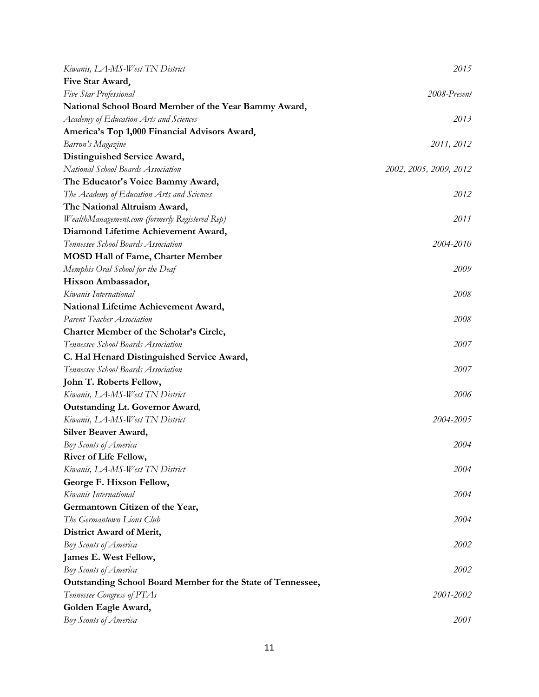| Kiwanis, LA-MS-West TN District                             | 2015                   |
|-------------------------------------------------------------|------------------------|
| Five Star Award,                                            |                        |
| Five Star Professional                                      | 2008-Present           |
| National School Board Member of the Year Bammy Award,       |                        |
| Academy of Education Arts and Sciences                      | 2013                   |
| America's Top 1,000 Financial Advisors Award,               |                        |
| Barron's Magazine                                           | 2011, 2012             |
| Distinguished Service Award,                                |                        |
| National School Boards Association                          | 2002, 2005, 2009, 2012 |
| The Educator's Voice Bammy Award,                           |                        |
| The Academy of Education Arts and Sciences                  | 2012                   |
| The National Altruism Award,                                |                        |
| WealthManagement.com (formerly Registered Rep)              | 2011                   |
| Diamond Lifetime Achievement Award,                         |                        |
| Tennessee School Boards Association                         | 2004-2010              |
| <b>MOSD Hall of Fame, Charter Member</b>                    |                        |
| Memphis Oral School for the Deaf                            | 2009                   |
| Hixson Ambassador,                                          |                        |
| Kiwanis International                                       | 2008                   |
| National Lifetime Achievement Award,                        |                        |
| Parent Teacher Association                                  | 2008                   |
| Charter Member of the Scholar's Circle,                     |                        |
| Tennessee School Boards Association                         | 2007                   |
| C. Hal Henard Distinguished Service Award,                  |                        |
| Tennessee School Boards Association                         | 2007                   |
| John T. Roberts Fellow,                                     |                        |
| Kiwanis, LA-MS-West TN District                             | 2006                   |
| <b>Outstanding Lt. Governor Award,</b>                      |                        |
| Kiwanis, LA-MS-West TN District                             | 2004-2005              |
| Silver Beaver Award,                                        |                        |
| Boy Scouts of America                                       | 2004                   |
| River of Life Fellow,                                       |                        |
| Kiwanis, LA-MS-West TN District                             | 2004                   |
| George F. Hixson Fellow,                                    |                        |
| Kiwanis International                                       | 2004                   |
| Germantown Citizen of the Year,                             |                        |
| The Germantown Lions Club                                   | 2004                   |
| District Award of Merit,                                    |                        |
| <b>Boy Scouts of America</b>                                | 2002                   |
| James E. West Fellow,                                       |                        |
| Boy Scouts of America                                       | 2002                   |
| Outstanding School Board Member for the State of Tennessee, |                        |
| Tennessee Congress of PTAs                                  | 2001-2002              |
| Golden Eagle Award,                                         |                        |
| <b>Boy Scouts of America</b>                                | 2001                   |